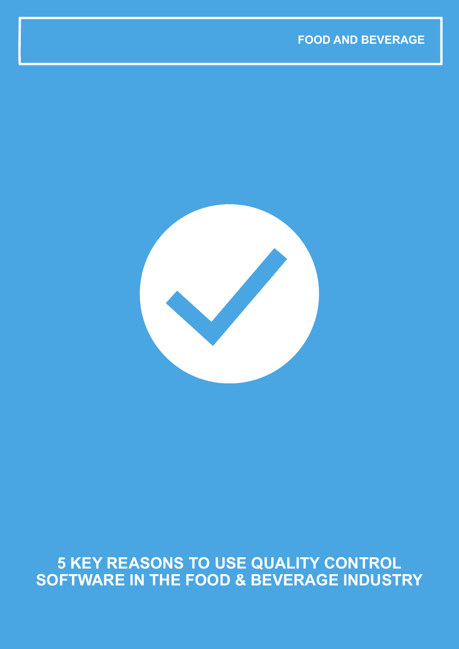

## **5 KEY REASONS TO USE QUALITY CONTROL SOFTWARE IN THE FOOD & BEVERAGE INDUSTRY**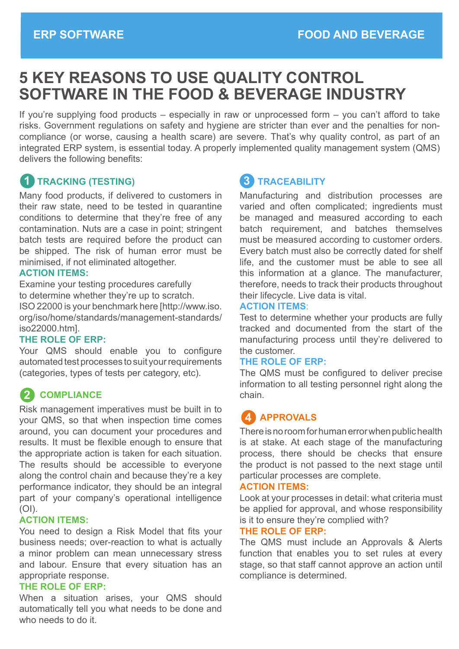# **5 KEY REASONS TO USE QUALITY CONTROL SOFTWARE IN THE FOOD & BEVERAGE INDUSTRY**

If you're supplying food products – especially in raw or unprocessed form – you can't afford to take risks. Government regulations on safety and hygiene are stricter than ever and the penalties for noncompliance (or worse, causing a health scare) are severe. That's why quality control, as part of an integrated ERP system, is essential today. A properly implemented quality management system (QMS) delivers the following benefits:

## **1** TRACKING (TESTING)

Many food products, if delivered to customers in their raw state, need to be tested in quarantine conditions to determine that they're free of any contamination. Nuts are a case in point; stringent batch tests are required before the product can be shipped. The risk of human error must be minimised, if not eliminated altogether.

#### **ACTION ITEMS:**

Examine your testing procedures carefully to determine whether they're up to scratch. ISO 22000 is your benchmark here [http://www.iso. org/iso/home/standards/management-standards/ iso22000.htm].

#### **THE ROLE OF ERP:**

Your QMS should enable you to configure automated test processes to suit your requirements (categories, types of tests per category, etc).

## **COMPLIANCE 2**

Risk management imperatives must be built in to your QMS, so that when inspection time comes around, you can document your procedures and results. It must be flexible enough to ensure that the appropriate action is taken for each situation. The results should be accessible to everyone along the control chain and because they're a key performance indicator, they should be an integral part of your company's operational intelligence  $(OI)$ .

#### **ACTION ITEMS:**

You need to design a Risk Model that fits your business needs; over-reaction to what is actually a minor problem can mean unnecessary stress and labour. Ensure that every situation has an appropriate response.

#### **THE ROLE OF ERP:**

When a situation arises, your QMS should automatically tell you what needs to be done and who needs to do it.

## **TRACEABILITY 3**

Manufacturing and distribution processes are varied and often complicated; ingredients must be managed and measured according to each batch requirement, and batches themselves must be measured according to customer orders. Every batch must also be correctly dated for shelf life, and the customer must be able to see all this information at a glance. The manufacturer, therefore, needs to track their products throughout their lifecycle. Live data is vital.

#### **ACTION ITEMS**:

Test to determine whether your products are fully tracked and documented from the start of the manufacturing process until they're delivered to the customer.

#### **THE ROLE OF ERP:**

The QMS must be configured to deliver precise information to all testing personnel right along the chain.

## **APPROVALS 4**

There is no room for human error when public health is at stake. At each stage of the manufacturing process, there should be checks that ensure the product is not passed to the next stage until particular processes are complete.

#### **ACTION ITEMS:**

Look at your processes in detail: what criteria must be applied for approval, and whose responsibility is it to ensure they're complied with?

#### **THE ROLE OF ERP:**

The QMS must include an Approvals & Alerts function that enables you to set rules at every stage, so that staff cannot approve an action until compliance is determined.